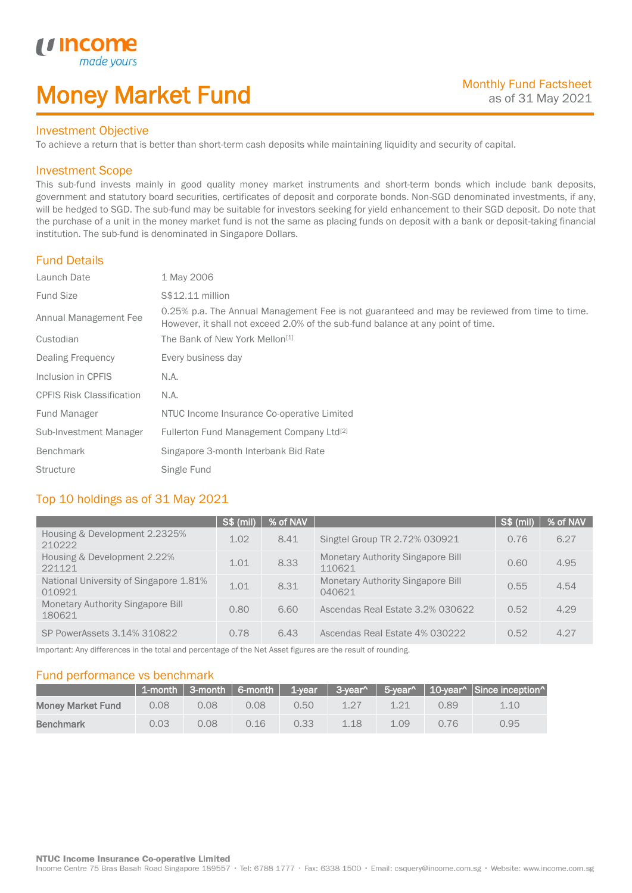# Money Market Fund

#### Investment Objective

made yo

*u* incom

I

To achieve a return that is better than short-term cash deposits while maintaining liquidity and security of capital.

#### Investment Scope

This sub-fund invests mainly in good quality money market instruments and short-term bonds which include bank deposits, government and statutory board securities, certificates of deposit and corporate bonds. Non-SGD denominated investments, if any, will be hedged to SGD. The sub-fund may be suitable for investors seeking for yield enhancement to their SGD deposit. Do note that the purchase of a unit in the money market fund is not the same as placing funds on deposit with a bank or deposit-taking financial institution. The sub-fund is denominated in Singapore Dollars.

## Fund Details

| Launch Date                      | 1 May 2006                                                                                                                                                                       |
|----------------------------------|----------------------------------------------------------------------------------------------------------------------------------------------------------------------------------|
| <b>Fund Size</b>                 | S\$12.11 million                                                                                                                                                                 |
| Annual Management Fee            | 0.25% p.a. The Annual Management Fee is not guaranteed and may be reviewed from time to time.<br>However, it shall not exceed 2.0% of the sub-fund balance at any point of time. |
| Custodian                        | The Bank of New York Mellon <sup>[1]</sup>                                                                                                                                       |
| Dealing Frequency                | Every business day                                                                                                                                                               |
| Inclusion in CPFIS               | N.A.                                                                                                                                                                             |
| <b>CPFIS Risk Classification</b> | N.A.                                                                                                                                                                             |
| Fund Manager                     | NTUC Income Insurance Co-operative Limited                                                                                                                                       |
| Sub-Investment Manager           | Fullerton Fund Management Company Ltd <sup>[2]</sup>                                                                                                                             |
| <b>Benchmark</b>                 | Singapore 3-month Interbank Bid Rate                                                                                                                                             |
| <b>Structure</b>                 | Single Fund                                                                                                                                                                      |

## Top 10 holdings as of 31 May 2021

|                                                  | <b>S\$ (mil)</b> | % of NAV |                                                    | S\$ (mil) | % of NAV |
|--------------------------------------------------|------------------|----------|----------------------------------------------------|-----------|----------|
| Housing & Development 2.2325%<br>210222          | 1.02             | 8.41     | Singtel Group TR 2.72% 030921                      | 0.76      | 6.27     |
| Housing & Development 2.22%<br>221121            | 1.01             | 8.33     | <b>Monetary Authority Singapore Bill</b><br>110621 | 0.60      | 4.95     |
| National University of Singapore 1.81%<br>010921 | 1.01             | 8.31     | <b>Monetary Authority Singapore Bill</b><br>040621 | 0.55      | 4.54     |
| Monetary Authority Singapore Bill<br>180621      | 0.80             | 6.60     | Ascendas Real Estate 3.2% 030622                   | 0.52      | 4.29     |
| SP PowerAssets 3.14% 310822                      | 0.78             | 6.43     | Ascendas Real Estate 4% 030222                     | 0.52      | 4.27     |

Important: Any differences in the total and percentage of the Net Asset figures are the result of rounding.

#### Fund performance vs benchmark

|                          |      |      |      |      |      |      |      | 1-month   3-month   6-month   1-year   3-year^   5-year^   10-year^   Since inception^ |
|--------------------------|------|------|------|------|------|------|------|----------------------------------------------------------------------------------------|
| <b>Money Market Fund</b> | 0.08 | 0.08 | 0.08 | 0.50 | 1 27 |      | 0.89 | 1.10                                                                                   |
| <b>Benchmark</b>         | 0.03 | 0.08 | 0.16 | 0.33 | 1.18 | 1.09 | 0.76 | 0.95                                                                                   |